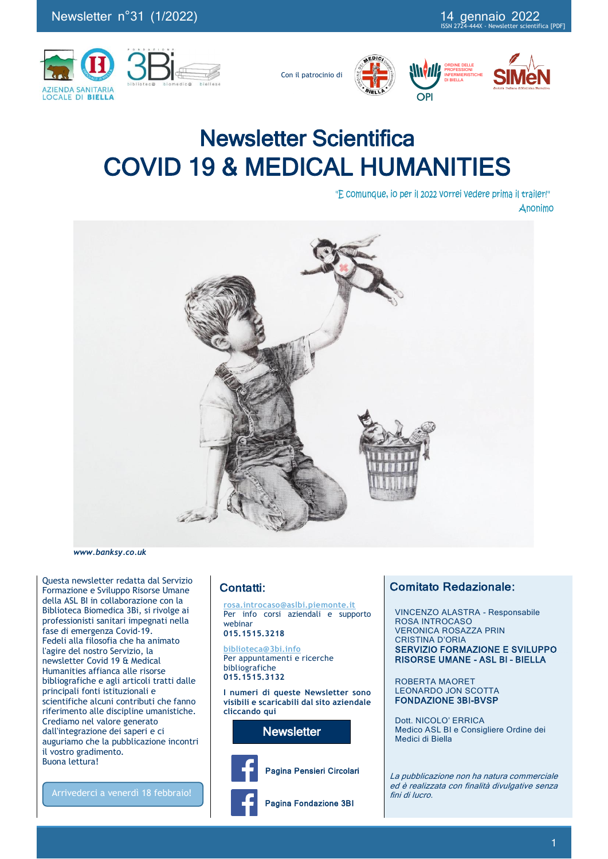

Con il patrocinio di







# Newsletter Scientifica COVID 19 & MEDICAL HUMANITIES

"E comunque, io per il 2022 vorrei vedere prima il trailer!" Anonimo



*www.banksy.co.uk*

Questa newsletter redatta dal Servizio Formazione e Sviluppo Risorse Umane della ASL BI in collaborazione con la Biblioteca Biomedica 3Bi, si rivolge ai professionisti sanitari impegnati nella fase di emergenza Covid-19. Fedeli alla filosofia che ha animato l'agire del nostro Servizio, la newsletter Covid 19 & Medical Humanities affianca alle risorse bibliografiche e agli articoli tratti dalle principali fonti istituzionali e scientifiche alcuni contributi che fanno riferimento alle discipline umanistiche. Crediamo nel valore generato dall'integrazione dei saperi e ci auguriamo che la pubblicazione incontri il vostro gradimento. Buona lettura!

Arrivederci a venerdì 18 febbraio!

## Contatti:

**rosa.introcaso@aslbi.piemonte.it** Per info corsi aziendali e supporto webinar

**015.1515.3218**

### **biblioteca@3bi.info**

Per appuntamenti e ricerche bibliografiche **015.1515.3132**

**I numeri di queste Newsletter sono visibili e scaricabili dal sito aziendale cliccando qui**

**Newsletter** 



Pagina Pensieri Circolari

Pagina Fondazione 3BI

## Comitato Redazionale:

 VINCENZO ALASTRA - Responsabile ROSA INTROCASO VERONICA ROSAZZA PRIN CRISTINA D'ORIA SERVIZIO FORMAZIONE E SVILUPPO RISORSE UMANE - ASL BI – BIELLA

ROBERTA MAORET LEONARDO JON SCOTTA FONDAZIONE 3BI-BVSP

Dott. NICOLO' ERRICA Medico ASL BI e Consigliere Ordine dei Medici di Biella

La pubblicazione non ha natura commerciale ed è realizzata con finalità divulgative senza fini di lucro.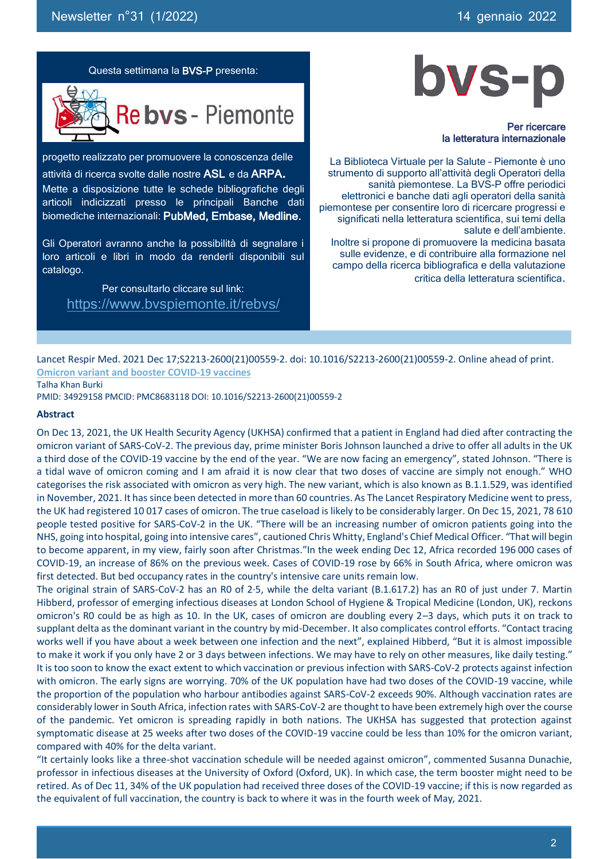

Per ricercare la letteratura internazionale

La Biblioteca Virtuale per la Salute – Piemonte è uno strumento di supporto all'attività degli Operatori della sanità piemontese. La BVS-P offre periodici elettronici e banche dati agli operatori della sanità piemontese per consentire loro di ricercare progressi e significati nella letteratura scientifica, sui temi della salute e dell'ambiente. Inoltre si propone di promuovere la medicina basata sulle evidenze, e di contribuire alla formazione nel campo della ricerca bibliografica e della valutazione critica della letteratura scientifica.

Questa settimana la BVS-P presenta:



progetto realizzato per promuovere la conoscenza delle attività di ricerca svolte dalle nostre ASL e da ARPA. Mette a disposizione tutte le schede bibliografiche degli articoli indicizzati presso le principali Banche dati biomediche internazionali: PubMed, Embase, Medline.

Gli Operatori avranno anche la possibilità di segnalare i loro articoli e libri in modo da renderli disponibili sul catalogo.

Per consultarlo cliccare sul link: https://www.bvspiemonte.it/rebvs/

Lancet Respir Med. 2021 Dec 17;S2213-2600(21)00559-2. doi: 10.1016/S2213-2600(21)00559-2. Online ahead of print. **Omicron variant and booster COVID-19 vaccines**

Talha Khan Burki

PMID: 34929158 PMCID: PMC8683118 DOI: 10.1016/S2213-2600(21)00559-2

#### **Abstract**

On Dec 13, 2021, the UK Health Security Agency (UKHSA) confirmed that a patient in England had died after contracting the omicron variant of SARS-CoV-2. The previous day, prime minister Boris Johnson launched a drive to offer all adults in the UK a third dose of the COVID-19 vaccine by the end of the year. "We are now facing an emergency", stated Johnson. "There is a tidal wave of omicron coming and I am afraid it is now clear that two doses of vaccine are simply not enough." WHO categorises the risk associated with omicron as very high. The new variant, which is also known as B.1.1.529, was identified in November, 2021. It has since been detected in more than 60 countries. As The Lancet Respiratory Medicine went to press, the UK had registered 10 017 cases of omicron. The true caseload is likely to be considerably larger. On Dec 15, 2021, 78 610 people tested positive for SARS-CoV-2 in the UK. "There will be an increasing number of omicron patients going into the NHS, going into hospital, going into intensive cares", cautioned Chris Whitty, England's Chief Medical Officer. "That will begin to become apparent, in my view, fairly soon after Christmas."In the week ending Dec 12, Africa recorded 196 000 cases of COVID-19, an increase of 86% on the previous week. Cases of COVID-19 rose by 66% in South Africa, where omicron was first detected. But bed occupancy rates in the country's intensive care units remain low.

The original strain of SARS-CoV-2 has an R0 of 2·5, while the delta variant (B.1.617.2) has an R0 of just under 7. Martin Hibberd, professor of emerging infectious diseases at London School of Hygiene & Tropical Medicine (London, UK), reckons omicron's R0 could be as high as 10. In the UK, cases of omicron are doubling every 2–3 days, which puts it on track to supplant delta as the dominant variant in the country by mid-December. It also complicates control efforts. "Contact tracing works well if you have about a week between one infection and the next", explained Hibberd, "But it is almost impossible to make it work if you only have 2 or 3 days between infections. We may have to rely on other measures, like daily testing." It is too soon to know the exact extent to which vaccination or previous infection with SARS-CoV-2 protects against infection with omicron. The early signs are worrying. 70% of the UK population have had two doses of the COVID-19 vaccine, while the proportion of the population who harbour antibodies against SARS-CoV-2 exceeds 90%. Although vaccination rates are considerably lower in South Africa, infection rates with SARS-CoV-2 are thought to have been extremely high over the course of the pandemic. Yet omicron is spreading rapidly in both nations. The UKHSA has suggested that protection against symptomatic disease at 25 weeks after two doses of the COVID-19 vaccine could be less than 10% for the omicron variant, compared with 40% for the delta variant.

"It certainly looks like a three-shot vaccination schedule will be needed against omicron", commented Susanna Dunachie, professor in infectious diseases at the University of Oxford (Oxford, UK). In which case, the term booster might need to be retired. As of Dec 11, 34% of the UK population had received three doses of the COVID-19 vaccine; if this is now regarded as the equivalent of full vaccination, the country is back to where it was in the fourth week of May, 2021.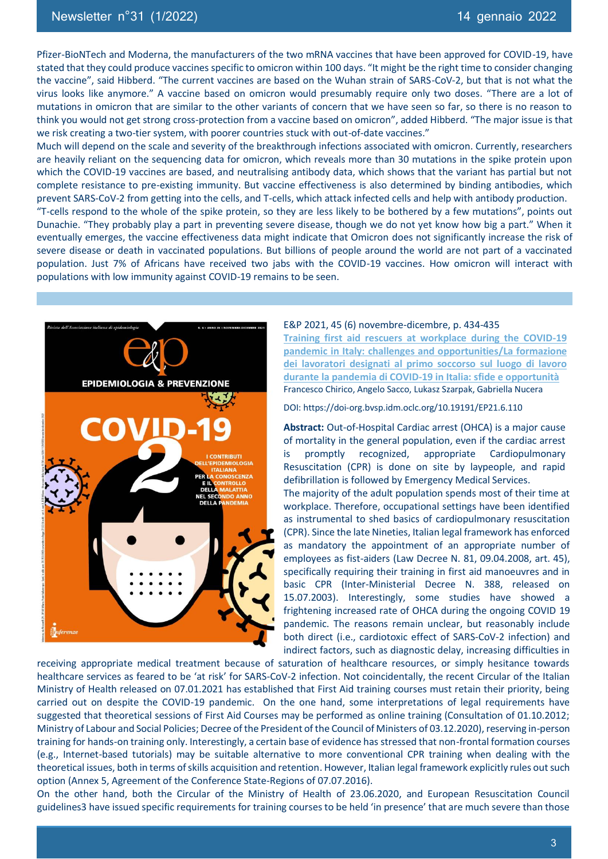Pfizer-BioNTech and Moderna, the manufacturers of the two mRNA vaccines that have been approved for COVID-19, have stated that they could produce vaccines specific to omicron within 100 days. "It might be the right time to consider changing the vaccine", said Hibberd. "The current vaccines are based on the Wuhan strain of SARS-CoV-2, but that is not what the virus looks like anymore." A vaccine based on omicron would presumably require only two doses. "There are a lot of mutations in omicron that are similar to the other variants of concern that we have seen so far, so there is no reason to think you would not get strong cross-protection from a vaccine based on omicron", added Hibberd. "The major issue is that we risk creating a two-tier system, with poorer countries stuck with out-of-date vaccines."

Much will depend on the scale and severity of the breakthrough infections associated with omicron. Currently, researchers are heavily reliant on the sequencing data for omicron, which reveals more than 30 mutations in the spike protein upon which the COVID-19 vaccines are based, and neutralising antibody data, which shows that the variant has partial but not complete resistance to pre-existing immunity. But vaccine effectiveness is also determined by binding antibodies, which prevent SARS-CoV-2 from getting into the cells, and T-cells, which attack infected cells and help with antibody production.

"T-cells respond to the whole of the spike protein, so they are less likely to be bothered by a few mutations", points out Dunachie. "They probably play a part in preventing severe disease, though we do not yet know how big a part." When it eventually emerges, the vaccine effectiveness data might indicate that Omicron does not significantly increase the risk of severe disease or death in vaccinated populations. But billions of people around the world are not part of a vaccinated population. Just 7% of Africans have received two jabs with the COVID-19 vaccines. How omicron will interact with populations with low immunity against COVID-19 remains to be seen.



#### E&P 2021, 45 (6) novembre-dicembre, p. 434-435

**Training first aid rescuers at workplace during the COVID-19 pandemic in Italy: challenges and opportunities/La formazione dei lavoratori designati al primo soccorso sul luogo di lavoro durante la pandemia di COVID-19 in Italia: sfide e opportunità** Francesco Chirico, Angelo Sacco, Lukasz Szarpak, Gabriella Nucera

DOI: https://doi-org.bvsp.idm.oclc.org/10.19191/EP21.6.110

**Abstract:** Out-of-Hospital Cardiac arrest (OHCA) is a major cause of mortality in the general population, even if the cardiac arrest is promptly recognized, appropriate Cardiopulmonary Resuscitation (CPR) is done on site by laypeople, and rapid defibrillation is followed by Emergency Medical Services.

The majority of the adult population spends most of their time at workplace. Therefore, occupational settings have been identified as instrumental to shed basics of cardiopulmonary resuscitation (CPR). Since the late Nineties, Italian legal framework has enforced as mandatory the appointment of an appropriate number of employees as fist-aiders (Law Decree N. 81, 09.04.2008, art. 45), specifically requiring their training in first aid manoeuvres and in basic CPR (Inter-Ministerial Decree N. 388, released on 15.07.2003). Interestingly, some studies have showed a frightening increased rate of OHCA during the ongoing COVID 19 pandemic. The reasons remain unclear, but reasonably include both direct (i.e., cardiotoxic effect of SARS-CoV-2 infection) and indirect factors, such as diagnostic delay, increasing difficulties in

receiving appropriate medical treatment because of saturation of healthcare resources, or simply hesitance towards healthcare services as feared to be 'at risk' for SARS-CoV-2 infection. Not coincidentally, the recent Circular of the Italian Ministry of Health released on 07.01.2021 has established that First Aid training courses must retain their priority, being carried out on despite the COVID-19 pandemic. On the one hand, some interpretations of legal requirements have suggested that theoretical sessions of First Aid Courses may be performed as online training (Consultation of 01.10.2012; Ministry of Labour and Social Policies; Decree of the President of the Council of Ministers of 03.12.2020), reserving in-person training for hands-on training only. Interestingly, a certain base of evidence has stressed that non-frontal formation courses (e.g., Internet-based tutorials) may be suitable alternative to more conventional CPR training when dealing with the theoretical issues, both in terms of skills acquisition and retention. However, Italian legal framework explicitly rules out such option (Annex 5, Agreement of the Conference State-Regions of 07.07.2016).

On the other hand, both the Circular of the Ministry of Health of 23.06.2020, and European Resuscitation Council guidelines3 have issued specific requirements for training courses to be held 'in presence' that are much severe than those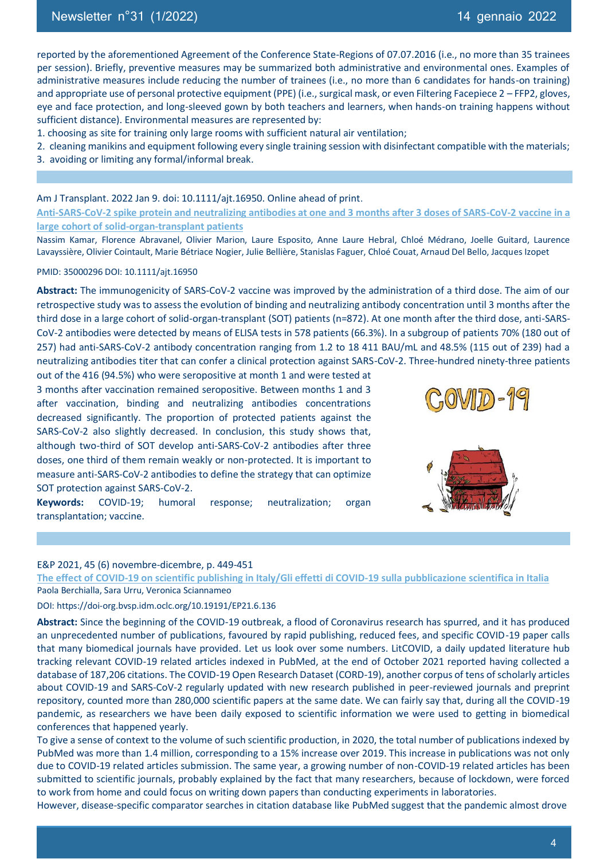reported by the aforementioned Agreement of the Conference State-Regions of 07.07.2016 (i.e., no more than 35 trainees per session). Briefly, preventive measures may be summarized both administrative and environmental ones. Examples of administrative measures include reducing the number of trainees (i.e., no more than 6 candidates for hands-on training) and appropriate use of personal protective equipment (PPE) (i.e., surgical mask, or even Filtering Facepiece 2 – FFP2, gloves, eye and face protection, and long-sleeved gown by both teachers and learners, when hands-on training happens without sufficient distance). Environmental measures are represented by:

- 1. choosing as site for training only large rooms with sufficient natural air ventilation;
- 2.  cleaning manikins and equipment following every single training session with disinfectant compatible with the materials;
- 3.  avoiding or limiting any formal/informal break.

## Am J Transplant. 2022 Jan 9. doi: 10.1111/ajt.16950. Online ahead of print.

**Anti-SARS-CoV-2 spike protein and neutralizing antibodies at one and 3 months after 3 doses of SARS-CoV-2 vaccine in a large cohort of solid-organ-transplant patients**

Nassim Kamar, Florence Abravanel, Olivier Marion, Laure Esposito, Anne Laure Hebral, Chloé Médrano, Joelle Guitard, Laurence Lavayssière, Olivier Cointault, Marie Bétriace Nogier, Julie Bellière, Stanislas Faguer, Chloé Couat, Arnaud Del Bello, Jacques Izopet

#### PMID: 35000296 DOI: 10.1111/ajt.16950

**Abstract:** The immunogenicity of SARS-CoV-2 vaccine was improved by the administration of a third dose. The aim of our retrospective study was to assess the evolution of binding and neutralizing antibody concentration until 3 months after the third dose in a large cohort of solid-organ-transplant (SOT) patients (n=872). At one month after the third dose, anti-SARS-CoV-2 antibodies were detected by means of ELISA tests in 578 patients (66.3%). In a subgroup of patients 70% (180 out of 257) had anti-SARS-CoV-2 antibody concentration ranging from 1.2 to 18 411 BAU/mL and 48.5% (115 out of 239) had a neutralizing antibodies titer that can confer a clinical protection against SARS-CoV-2. Three-hundred ninety-three patients

out of the 416 (94.5%) who were seropositive at month 1 and were tested at 3 months after vaccination remained seropositive. Between months 1 and 3 after vaccination, binding and neutralizing antibodies concentrations decreased significantly. The proportion of protected patients against the SARS-CoV-2 also slightly decreased. In conclusion, this study shows that, although two-third of SOT develop anti-SARS-CoV-2 antibodies after three doses, one third of them remain weakly or non-protected. It is important to measure anti-SARS-CoV-2 antibodies to define the strategy that can optimize SOT protection against SARS-CoV-2.

 $C_1$ O $V$ ll $D$  - 1 $C_1$ 

**Keywords:** COVID-19; humoral response; neutralization; organ transplantation; vaccine.

#### E&P 2021, 45 (6) novembre-dicembre, p. 449-451

**The effect of COVID-19 on scientific publishing in Italy/Gli effetti di COVID-19 sulla pubblicazione scientifica in Italia** Paola Berchialla, Sara Urru, Veronica Sciannameo

#### DOI: https://doi-org.bvsp.idm.oclc.org/10.19191/EP21.6.136

**Abstract:** Since the beginning of the COVID-19 outbreak, a flood of Coronavirus research has spurred, and it has produced an unprecedented number of publications, favoured by rapid publishing, reduced fees, and specific COVID-19 paper calls that many biomedical journals have provided. Let us look over some numbers. LitCOVID, a daily updated literature hub tracking relevant COVID-19 related articles indexed in PubMed, at the end of October 2021 reported having collected a database of 187,206 citations. The COVID-19 Open Research Dataset (CORD-19), another corpus of tens of scholarly articles about COVID-19 and SARS-CoV-2 regularly updated with new research published in peer-reviewed journals and preprint repository, counted more than 280,000 scientific papers at the same date. We can fairly say that, during all the COVID-19 pandemic, as researchers we have been daily exposed to scientific information we were used to getting in biomedical conferences that happened yearly.

To give a sense of context to the volume of such scientific production, in 2020, the total number of publications indexed by PubMed was more than 1.4 million, corresponding to a 15% increase over 2019. This increase in publications was not only due to COVID-19 related articles submission. The same year, a growing number of non-COVID-19 related articles has been submitted to scientific journals, probably explained by the fact that many researchers, because of lockdown, were forced to work from home and could focus on writing down papers than conducting experiments in laboratories.

However, disease-specific comparator searches in citation database like PubMed suggest that the pandemic almost drove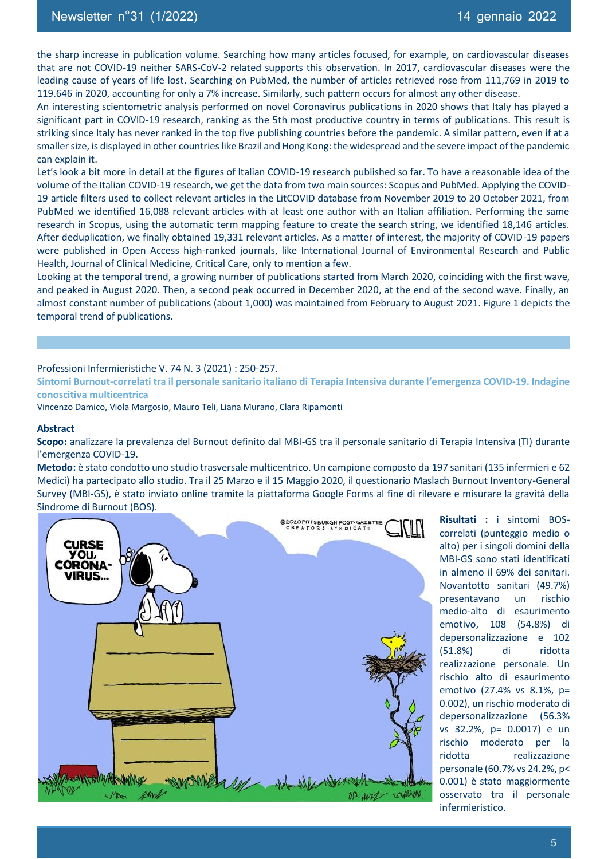the sharp increase in publication volume. Searching how many articles focused, for example, on cardiovascular diseases that are not COVID-19 neither SARS-CoV-2 related supports this observation. In 2017, cardiovascular diseases were the leading cause of years of life lost. Searching on PubMed, the number of articles retrieved rose from 111,769 in 2019 to 119.646 in 2020, accounting for only a 7% increase. Similarly, such pattern occurs for almost any other disease.

An interesting scientometric analysis performed on novel Coronavirus publications in 2020 shows that Italy has played a significant part in COVID-19 research, ranking as the 5th most productive country in terms of publications. This result is striking since Italy has never ranked in the top five publishing countries before the pandemic. A similar pattern, even if at a smaller size, is displayed in other countries like Brazil and Hong Kong: the widespread and the severe impact of the pandemic can explain it.

Let's look a bit more in detail at the figures of Italian COVID-19 research published so far. To have a reasonable idea of the volume of the Italian COVID-19 research, we get the data from two main sources: Scopus and PubMed. Applying the COVID-19 article filters used to collect relevant articles in the LitCOVID database from November 2019 to 20 October 2021, from PubMed we identified 16,088 relevant articles with at least one author with an Italian affiliation. Performing the same research in Scopus, using the automatic term mapping feature to create the search string, we identified 18,146 articles. After deduplication, we finally obtained 19,331 relevant articles. As a matter of interest, the majority of COVID-19 papers were published in Open Access high-ranked journals, like International Journal of Environmental Research and Public Health, Journal of Clinical Medicine, Critical Care, only to mention a few.

Looking at the temporal trend, a growing number of publications started from March 2020, coinciding with the first wave, and peaked in August 2020. Then, a second peak occurred in December 2020, at the end of the second wave. Finally, an almost constant number of publications (about 1,000) was maintained from February to August 2021. Figure 1 depicts the temporal trend of publications.

#### Professioni Infermieristiche V. 74 N. 3 (2021) : 250-257.

**Sintomi Burnout-correlati tra il personale sanitario italiano di Terapia Intensiva durante l'emergenza COVID-19. Indagine conoscitiva multicentrica**

Vincenzo Damico, Viola Margosio, Mauro Teli, Liana Murano, Clara Ripamonti

#### **Abstract**

**Scopo:** analizzare la prevalenza del Burnout definito dal MBI-GS tra il personale sanitario di Terapia Intensiva (TI) durante l'emergenza COVID-19.

**Metodo:** è stato condotto uno studio trasversale multicentrico. Un campione composto da 197 sanitari (135 infermieri e 62 Medici) ha partecipato allo studio. Tra il 25 Marzo e il 15 Maggio 2020, il questionario Maslach Burnout Inventory-General Survey (MBI-GS), è stato inviato online tramite la piattaforma Google Forms al fine di rilevare e misurare la gravità della Sindrome di Burnout (BOS).



**Risultati :** i sintomi BOScorrelati (punteggio medio o alto) per i singoli domini della MBI-GS sono stati identificati in almeno il 69% dei sanitari. Novantotto sanitari (49.7%) presentavano un rischio medio-alto di esaurimento emotivo, 108 (54.8%) di depersonalizzazione e 102 (51.8%) di ridotta realizzazione personale. Un rischio alto di esaurimento emotivo (27.4% vs 8.1%, p= 0.002), un rischio moderato di depersonalizzazione (56.3% vs 32.2%, p= 0.0017) e un rischio moderato per la ridotta realizzazione personale (60.7% vs 24.2%, p< 0.001) è stato maggiormente osservato tra il personale infermieristico.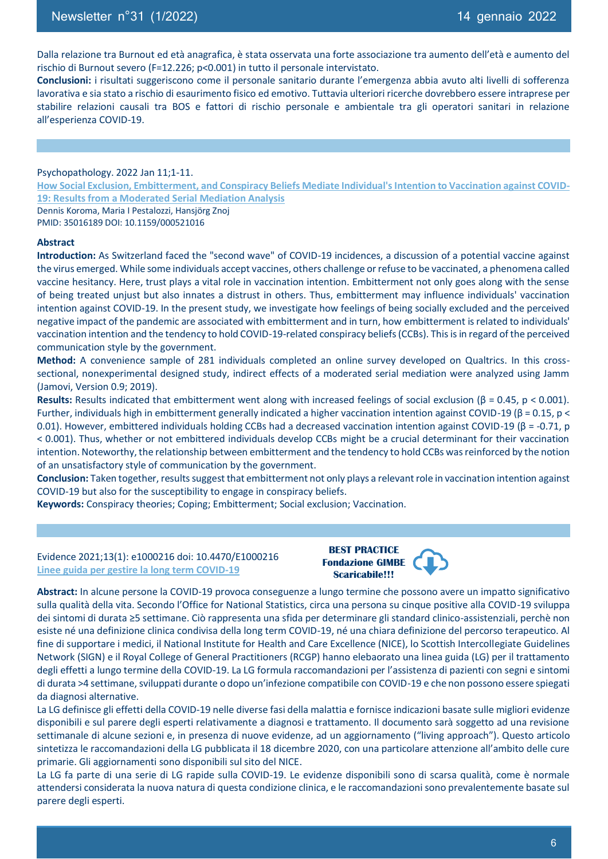Dalla relazione tra Burnout ed età anagrafica, è stata osservata una forte associazione tra aumento dell'età e aumento del rischio di Burnout severo (F=12.226; p<0.001) in tutto il personale intervistato.

**Conclusioni:** i risultati suggeriscono come il personale sanitario durante l'emergenza abbia avuto alti livelli di sofferenza lavorativa e sia stato a rischio di esaurimento fisico ed emotivo. Tuttavia ulteriori ricerche dovrebbero essere intraprese per stabilire relazioni causali tra BOS e fattori di rischio personale e ambientale tra gli operatori sanitari in relazione all'esperienza COVID-19.

Psychopathology. 2022 Jan 11;1-11. **How Social Exclusion, Embitterment, and Conspiracy Beliefs Mediate Individual's Intention to Vaccination against COVID-19: Results from a Moderated Serial Mediation Analysis** Dennis Koroma, Maria I Pestalozzi, Hansjörg Znoj PMID: 35016189 DOI: 10.1159/000521016

#### **Abstract**

**Introduction:** As Switzerland faced the "second wave" of COVID-19 incidences, a discussion of a potential vaccine against the virus emerged. While some individuals accept vaccines, others challenge or refuse to be vaccinated, a phenomena called vaccine hesitancy. Here, trust plays a vital role in vaccination intention. Embitterment not only goes along with the sense of being treated unjust but also innates a distrust in others. Thus, embitterment may influence individuals' vaccination intention against COVID-19. In the present study, we investigate how feelings of being socially excluded and the perceived negative impact of the pandemic are associated with embitterment and in turn, how embitterment is related to individuals' vaccination intention and the tendency to hold COVID-19-related conspiracy beliefs (CCBs). This is in regard of the perceived communication style by the government.

**Method:** A convenience sample of 281 individuals completed an online survey developed on Qualtrics. In this crosssectional, nonexperimental designed study, indirect effects of a moderated serial mediation were analyzed using Jamm (Jamovi, Version 0.9; 2019).

**Results:** Results indicated that embitterment went along with increased feelings of social exclusion (β = 0.45, p < 0.001). Further, individuals high in embitterment generally indicated a higher vaccination intention against COVID-19 (β = 0.15, p < 0.01). However, embittered individuals holding CCBs had a decreased vaccination intention against COVID-19 (β = -0.71, p < 0.001). Thus, whether or not embittered individuals develop CCBs might be a crucial determinant for their vaccination intention. Noteworthy, the relationship between embitterment and the tendency to hold CCBs was reinforced by the notion of an unsatisfactory style of communication by the government.

**Conclusion:** Taken together, results suggest that embitterment not only plays a relevant role in vaccination intention against COVID-19 but also for the susceptibility to engage in conspiracy beliefs.

**Keywords:** Conspiracy theories; Coping; Embitterment; Social exclusion; Vaccination.

Evidence 2021;13(1): e1000216 doi: 10.4470/E1000216 **Linee guida per gestire la long term COVID-19**



**Abstract:** In alcune persone la COVID-19 provoca conseguenze a lungo termine che possono avere un impatto significativo sulla qualità della vita. Secondo l'Office for National Statistics, circa una persona su cinque positive alla COVID-19 sviluppa dei sintomi di durata ≥5 settimane. Ciò rappresenta una sfida per determinare gli standard clinico-assistenziali, perchè non esiste né una definizione clinica condivisa della long term COVID-19, né una chiara definizione del percorso terapeutico. Al fine di supportare i medici, il National Institute for Health and Care Excellence (NICE), lo Scottish Intercollegiate Guidelines Network (SIGN) e il Royal College of General Practitioners (RCGP) hanno elebaorato una linea guida (LG) per il trattamento degli effetti a lungo termine della COVID-19. La LG formula raccomandazioni per l'assistenza di pazienti con segni e sintomi di durata >4 settimane, sviluppati durante o dopo un'infezione compatibile con COVID-19 e che non possono essere spiegati da diagnosi alternative.

La LG definisce gli effetti della COVID-19 nelle diverse fasi della malattia e fornisce indicazioni basate sulle migliori evidenze disponibili e sul parere degli esperti relativamente a diagnosi e trattamento. Il documento sarà soggetto ad una revisione settimanale di alcune sezioni e, in presenza di nuove evidenze, ad un aggiornamento ("living approach"). Questo articolo sintetizza le raccomandazioni della LG pubblicata il 18 dicembre 2020, con una particolare attenzione all'ambito delle cure primarie. Gli aggiornamenti sono disponibili sul sito del NICE.

La LG fa parte di una serie di LG rapide sulla COVID-19. Le evidenze disponibili sono di scarsa qualità, come è normale attendersi considerata la nuova natura di questa condizione clinica, e le raccomandazioni sono prevalentemente basate sul parere degli esperti.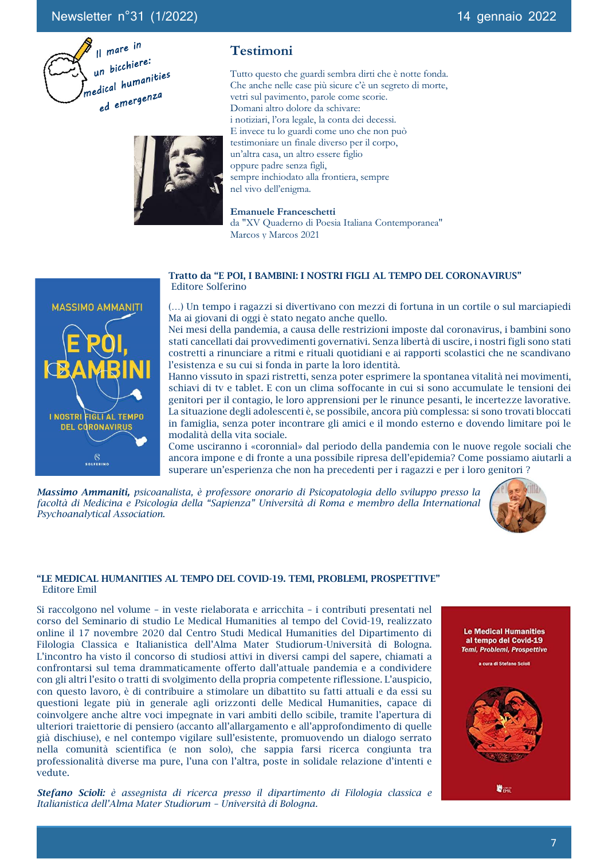

## **Testimoni**

Tutto questo che guardi sembra dirti che è notte fonda. Che anche nelle case più sicure c'è un segreto di morte, vetri sul pavimento, parole come scorie. Domani altro dolore da schivare: i notiziari, l'ora legale, la conta dei decessi. E invece tu lo guardi come uno che non può testimoniare un finale diverso per il corpo, un'altra casa, un altro essere figlio oppure padre senza figli, sempre inchiodato alla frontiera, sempre nel vivo dell'enigma.

**Emanuele Franceschetti** da "XV Quaderno di Poesia Italiana Contemporanea" Marcos y Marcos 2021

#### Tratto da "E POI, I BAMBINI: I NOSTRI FIGLI AL TEMPO DEL CORONAVIRUS" Editore Solferino

(…) Un tempo i ragazzi si divertivano con mezzi di fortuna in un cortile o sul marciapiedi Ma ai giovani di oggi è stato negato anche quello.

Nei mesi della pandemia, a causa delle restrizioni imposte dal coronavirus, i bambini sono stati cancellati dai provvedimenti governativi. Senza libertà di uscire, i nostri figli sono stati costretti a rinunciare a ritmi e rituali quotidiani e ai rapporti scolastici che ne scandivano l'esistenza e su cui si fonda in parte la loro identità.

Hanno vissuto in spazi ristretti, senza poter esprimere la spontanea vitalità nei movimenti, schiavi di tv e tablet. E con un clima soffocante in cui si sono accumulate le tensioni dei genitori per il contagio, le loro apprensioni per le rinunce pesanti, le incertezze lavorative. La situazione degli adolescenti è, se possibile, ancora più complessa: si sono trovati bloccati in famiglia, senza poter incontrare gli amici e il mondo esterno e dovendo limitare poi le modalità della vita sociale.

Come usciranno i «coronnial» dal periodo della pandemia con le nuove regole sociali che ancora impone e di fronte a una possibile ripresa dell'epidemia? Come possiamo aiutarli a superare un'esperienza che non ha precedenti per i ragazzi e per i loro genitori ?

*Massimo Ammaniti, psicoanalista, è professore onorario di Psicopatologia dello sviluppo presso la facoltà di Medicina e Psicologia della "Sapienza" Università di Roma e membro della International Psychoanalytical Association.* 



## "LE MEDICAL HUMANITIES AL TEMPO DEL COVID-19. TEMI, PROBLEMI, PROSPETTIVE" Editore Emil

Si raccolgono nel volume – in veste rielaborata e arricchita – i contributi presentati nel corso del Seminario di studio Le Medical Humanities al tempo del Covid-19, realizzato online il 17 novembre 2020 dal Centro Studi Medical Humanities del Dipartimento di Filologia Classica e Italianistica dell'Alma Mater Studiorum-Università di Bologna. L'incontro ha visto il concorso di studiosi attivi in diversi campi del sapere, chiamati a confrontarsi sul tema drammaticamente offerto dall'attuale pandemia e a condividere con gli altri l'esito o tratti di svolgimento della propria competente riflessione. L'auspicio, con questo lavoro, è di contribuire a stimolare un dibattito su fatti attuali e da essi su questioni legate più in generale agli orizzonti delle Medical Humanities, capace di coinvolgere anche altre voci impegnate in vari ambiti dello scibile, tramite l'apertura di ulteriori traiettorie di pensiero (accanto all'allargamento e all'approfondimento di quelle già dischiuse), e nel contempo vigilare sull'esistente, promuovendo un dialogo serrato nella comunità scientifica (e non solo), che sappia farsi ricerca congiunta tra professionalità diverse ma pure, l'una con l'altra, poste in solidale relazione d'intenti e vedute.

*Stefano Scioli: è assegnista di ricerca presso il dipartimento di Filologia classica e Italianistica dell'Alma Mater Studiorum – Università di Bologna.*